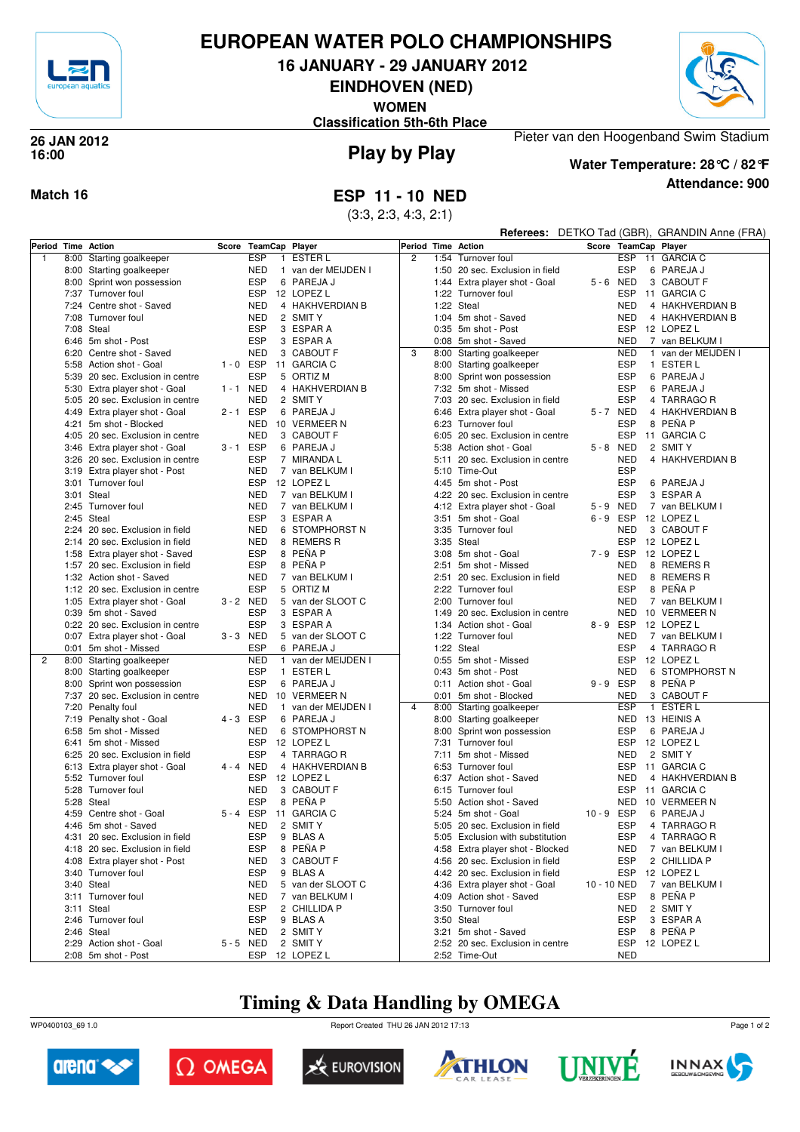

#### **EUROPEAN WATER POLO CHAMPIONSHIPS**

**16 JANUARY - 29 JANUARY 2012**

**EINDHOVEN (NED)**

**WOMEN**

**Classification 5th-6th Place**



**Play by Play 26 JAN 2012 16:00**

**Attendance: 900 Water Temperature: 28°C / 82°F**

Pieter van den Hoogenband Swim Stadium

**Match 16 ESP 11 - 10 NED**

(3:3, 2:3, 4:3, 2:1)

|                |      |                                                                   |             |                            |                                |                |      |                                                   |             |                          | Referees: DETKO Tad (GBR), GRANDIN Anne (FRA) |
|----------------|------|-------------------------------------------------------------------|-------------|----------------------------|--------------------------------|----------------|------|---------------------------------------------------|-------------|--------------------------|-----------------------------------------------|
| Period         |      | <b>Time Action</b>                                                | Score       | TeamCap Player             |                                | Period         |      | <b>Time Action</b>                                |             |                          | Score TeamCap Player                          |
| $\overline{1}$ | 8:00 | Starting goalkeeper                                               |             | <b>ESP</b><br>$\mathbf{1}$ | <b>ESTER L</b>                 | $\overline{c}$ |      | 1:54 Turnover foul                                |             | ESP                      | 11 GARCIA C                                   |
|                | 8:00 | Starting goalkeeper                                               |             | <b>NED</b>                 | 1 van der MEIJDEN I            |                |      | 1:50 20 sec. Exclusion in field                   |             | <b>ESP</b>               | 6 PAREJA J                                    |
|                | 8:00 | Sprint won possession                                             |             | <b>ESP</b>                 | 6 PAREJA J                     |                |      | 1:44 Extra player shot - Goal                     |             | 5-6 NED                  | 3 CABOUT F                                    |
|                |      | 7:37 Turnover foul                                                |             | <b>ESP</b>                 | 12 LOPEZ L                     |                |      | 1:22 Turnover foul                                |             | <b>ESP</b>               | 11 GARCIA C                                   |
|                |      | 7:24 Centre shot - Saved                                          |             | <b>NED</b>                 | 4 HAKHVERDIAN B                |                |      | 1:22 Steal                                        |             | <b>NED</b>               | 4 HAKHVERDIAN B                               |
|                |      | 7:08 Turnover foul                                                |             | <b>NED</b>                 | 2 SMIT Y                       |                |      | 1:04 5m shot - Saved                              |             | <b>NED</b>               | 4 HAKHVERDIAN B                               |
|                |      | 7:08 Steal                                                        |             | <b>ESP</b>                 | 3 ESPAR A                      |                |      | 0:35 5m shot - Post                               |             | <b>ESP</b>               | 12 LOPEZ L                                    |
|                |      | 6:46 5m shot - Post                                               |             | <b>ESP</b>                 | 3 ESPAR A                      |                |      | 0:08 5m shot - Saved                              |             | NED                      | 7 van BELKUM I                                |
|                |      | 6:20 Centre shot - Saved                                          |             | <b>NED</b>                 | 3 CABOUT F                     | 3              |      | 8:00 Starting goalkeeper                          |             | <b>NED</b>               | 1 van der MEIJDEN I                           |
|                |      | 5:58 Action shot - Goal                                           | $1 - 0$ ESP |                            | 11 GARCIA C                    |                |      | 8:00 Starting goalkeeper                          |             | <b>ESP</b>               | 1 ESTER L                                     |
|                | 5:39 | 20 sec. Exclusion in centre                                       |             | <b>ESP</b>                 | 5 ORTIZ M                      |                |      | 8:00 Sprint won possession                        |             | <b>ESP</b>               | 6 PAREJA J                                    |
|                |      | 5:30 Extra player shot - Goal                                     | 1 - 1 NED   |                            | 4 HAKHVERDIAN B                |                |      | 7:32 5m shot - Missed                             |             | <b>ESP</b>               | 6 PAREJA J                                    |
|                | 5:05 | 20 sec. Exclusion in centre                                       |             | <b>NED</b>                 | 2 SMIT Y                       |                |      | 7:03 20 sec. Exclusion in field                   |             | <b>ESP</b>               | 4 TARRAGO R                                   |
|                |      | 4:49 Extra player shot - Goal                                     | $2 - 1$ ESP |                            | 6 PAREJA J                     |                |      | 6:46 Extra player shot - Goal                     |             | 5-7 NED                  | 4 HAKHVERDIAN B                               |
|                | 4:21 | 5m shot - Blocked                                                 |             | NED                        | 10 VERMEER N                   |                |      | 6:23 Turnover foul                                |             | <b>ESP</b>               | 8 PEÑA P                                      |
|                |      | 4:05 20 sec. Exclusion in centre                                  |             | <b>NED</b>                 | 3 CABOUT F                     |                |      | 6:05 20 sec. Exclusion in centre                  |             | ESP                      | 11 GARCIA C                                   |
|                |      | 3:46 Extra player shot - Goal                                     | $3 - 1$ ESP |                            | 6 PAREJA J                     |                | 5:38 | Action shot - Goal                                |             | 5-8 NED                  | 2 SMITY                                       |
|                |      | 3:26 20 sec. Exclusion in centre<br>3:19 Extra player shot - Post |             | <b>ESP</b><br><b>NED</b>   | 7 MIRANDA L<br>7 van BELKUM I  |                |      | 5:11 20 sec. Exclusion in centre<br>5:10 Time-Out |             | <b>NED</b><br><b>ESP</b> | 4 HAKHVERDIAN B                               |
|                |      | 3:01 Turnover foul                                                |             | <b>ESP</b>                 | 12 LOPEZ L                     |                |      | 4:45 5m shot - Post                               |             | <b>ESP</b>               | 6 PAREJA J                                    |
|                |      | 3:01 Steal                                                        |             | <b>NED</b>                 | 7 van BELKUM I                 |                |      | 4:22 20 sec. Exclusion in centre                  |             | <b>ESP</b>               | 3 ESPAR A                                     |
|                |      | 2:45 Turnover foul                                                |             | <b>NED</b>                 | 7 van BELKUM I                 |                |      | 4:12 Extra player shot - Goal                     |             | 5-9 NED                  | 7 van BELKUM I                                |
|                |      | 2:45 Steal                                                        |             | <b>ESP</b>                 | 3 ESPAR A                      |                |      | 3:51 5m shot - Goal                               |             | 6-9 ESP                  | 12 LOPEZ L                                    |
|                |      | 2:24 20 sec. Exclusion in field                                   |             | <b>NED</b>                 | 6 STOMPHORST N                 |                |      | 3:35 Turnover foul                                |             | <b>NED</b>               | 3 CABOUT F                                    |
|                |      | 2:14 20 sec. Exclusion in field                                   |             | <b>NED</b>                 | 8 REMERS R                     |                |      | 3:35 Steal                                        |             | <b>ESP</b>               | 12 LOPEZ L                                    |
|                |      | 1:58 Extra player shot - Saved                                    |             | <b>ESP</b>                 | 8 PEÑA P                       |                |      | 3:08 5m shot - Goal                               |             | 7-9 ESP                  | 12 LOPEZ L                                    |
|                |      | 1:57 20 sec. Exclusion in field                                   |             | <b>ESP</b>                 | 8 PEÑA P                       |                |      | 2:51 5m shot - Missed                             |             | <b>NED</b>               | 8 REMERS R                                    |
|                |      | 1:32 Action shot - Saved                                          |             | <b>NED</b>                 | 7 van BELKUM I                 |                |      | 2:51 20 sec. Exclusion in field                   |             | <b>NED</b>               | 8 REMERS R                                    |
|                |      | 1:12 20 sec. Exclusion in centre                                  |             | <b>ESP</b>                 | 5 ORTIZ M                      |                |      | 2:22 Turnover foul                                |             | <b>ESP</b>               | 8 PEÑA P                                      |
|                |      | 1:05 Extra player shot - Goal                                     | 3-2 NED     |                            | 5 van der SLOOT C              |                |      | 2:00 Turnover foul                                |             | NED                      | 7 van BELKUM I                                |
|                |      | 0:39 5m shot - Saved                                              |             | <b>ESP</b>                 | 3 ESPAR A                      |                |      | 1:49 20 sec. Exclusion in centre                  |             | NED                      | 10 VERMEER N                                  |
|                |      | 0:22 20 sec. Exclusion in centre                                  |             | <b>ESP</b>                 | 3 ESPAR A                      |                |      | 1:34 Action shot - Goal                           |             | 8-9 ESP                  | 12 LOPEZ L                                    |
|                |      | 0:07 Extra player shot - Goal                                     | 3-3 NED     |                            | 5 van der SLOOT C              |                |      | 1:22 Turnover foul                                |             | <b>NED</b>               | 7 van BELKUM I                                |
|                | 0:01 | 5m shot - Missed                                                  |             | <b>ESP</b>                 | 6 PAREJA J                     |                |      | 1:22 Steal                                        |             | <b>ESP</b>               | 4 TARRAGO R                                   |
| $\overline{2}$ | 8:00 | Starting goalkeeper                                               |             | <b>NED</b>                 | 1 van der MEIJDEN I            |                |      | 0:55 5m shot - Missed                             |             | <b>ESP</b>               | 12 LOPEZ L                                    |
|                |      | 8:00 Starting goalkeeper                                          |             | <b>ESP</b>                 | 1 ESTER L                      |                |      | 0:43 5m shot - Post                               |             | NED                      | 6 STOMPHORST N                                |
|                | 8:00 | Sprint won possession                                             |             | <b>ESP</b>                 | 6 PAREJA J                     |                |      | 0:11 Action shot - Goal                           |             | 9-9 ESP                  | 8 PEÑA P                                      |
|                |      | 7:37 20 sec. Exclusion in centre                                  |             | NED                        | 10 VERMEER N                   |                |      | 0:01 5m shot - Blocked                            |             | NED                      | 3 CABOUT F                                    |
|                | 7:20 | Penalty foul                                                      |             | <b>NED</b><br>$\mathbf{1}$ | van der MEIJDEN I              | $\overline{4}$ |      | 8:00 Starting goalkeeper                          |             | <b>ESP</b>               | 1 ESTER L                                     |
|                | 7:19 | Penalty shot - Goal                                               | 4-3 ESP     |                            | 6 PAREJA J                     |                |      | 8:00 Starting goalkeeper                          |             | NED                      | 13 HEINIS A                                   |
|                | 6:58 | 5m shot - Missed                                                  |             | <b>NED</b>                 | 6 STOMPHORST N                 |                | 8:00 | Sprint won possession                             |             | <b>ESP</b>               | 6 PAREJA J                                    |
|                |      | 6:41 5m shot - Missed                                             |             | <b>ESP</b>                 | 12 LOPEZ L                     |                |      | 7:31 Turnover foul                                |             | <b>ESP</b>               | 12 LOPEZ L                                    |
|                |      | 6:25 20 sec. Exclusion in field                                   |             | <b>ESP</b>                 | 4 TARRAGO R<br>4 HAKHVERDIAN B |                |      | 7:11 5m shot - Missed                             |             | <b>NED</b>               | 2 SMIT Y                                      |
|                |      | 6:13 Extra player shot - Goal<br>5:52 Turnover foul               | 4 - 4 NED   | <b>ESP</b>                 | 12 LOPEZ L                     |                |      | 6:53 Turnover foul                                |             | ESP<br>NED               | 11 GARCIA C<br>4 HAKHVERDIAN B                |
|                |      | 5:28 Turnover foul                                                |             | <b>NED</b>                 | 3 CABOUT F                     |                | 6:15 | 6:37 Action shot - Saved<br>Turnover foul         |             | <b>ESP</b>               | 11 GARCIA C                                   |
|                |      | 5:28 Steal                                                        |             | <b>ESP</b>                 | 8 PEÑA P                       |                | 5:50 | Action shot - Saved                               |             | <b>NED</b>               | 10 VERMEER N                                  |
|                |      | 4:59 Centre shot - Goal                                           | 5-4 ESP     |                            | 11 GARCIA C                    |                |      | 5:24 5m shot - Goal                               | 10-9 ESP    |                          | 6 PAREJA J                                    |
|                |      | 4:46 5m shot - Saved                                              |             | <b>NED</b>                 | 2 SMIT Y                       |                |      | 5:05 20 sec. Exclusion in field                   |             | ESP                      | 4 TARRAGO R                                   |
|                |      | 4:31 20 sec. Exclusion in field                                   |             | ESP                        | 9 BLAS A                       |                |      | 5:05 Exclusion with substitution                  |             | ESP                      | 4 TARRAGO R                                   |
|                |      | 4:18 20 sec. Exclusion in field                                   |             | ESP                        | 8 PEÑA P                       |                |      | 4:58 Extra player shot - Blocked                  |             | NED                      | 7 van BELKUM I                                |
|                |      | 4:08 Extra player shot - Post                                     |             | NED                        | 3 CABOUT F                     |                |      | 4:56 20 sec. Exclusion in field                   |             | <b>ESP</b>               | 2 CHILLIDA P                                  |
|                |      | 3:40 Turnover foul                                                |             | ESP                        | 9 BLAS A                       |                |      | 4:42 20 sec. Exclusion in field                   |             |                          | ESP 12 LOPEZ L                                |
|                |      | 3:40 Steal                                                        |             | <b>NED</b>                 | 5 van der SLOOT C              |                |      | 4:36 Extra player shot - Goal                     | 10 - 10 NED |                          | 7 van BELKUM I                                |
|                |      | 3:11 Turnover foul                                                |             | NED                        | 7 van BELKUM I                 |                |      | 4:09 Action shot - Saved                          |             | ESP                      | 8 PEÑA P                                      |
|                |      | 3:11 Steal                                                        |             | <b>ESP</b>                 | 2 CHILLIDA P                   |                |      | 3:50 Turnover foul                                |             | <b>NED</b>               | 2 SMIT Y                                      |
|                |      | 2:46 Turnover foul                                                |             | ESP                        | 9 BLAS A                       |                |      | 3:50 Steal                                        |             | ESP                      | 3 ESPAR A                                     |
|                |      | 2:46 Steal                                                        |             | <b>NED</b>                 | 2 SMIT Y                       |                |      | 3:21 5m shot - Saved                              |             | ESP                      | 8 PENA P                                      |
|                |      | 2:29 Action shot - Goal                                           | 5-5 NED     |                            | 2 SMIT Y                       |                |      | 2:52 20 sec. Exclusion in centre                  |             | ESP                      | 12 LOPEZ L                                    |
|                |      | 2:08 5m shot - Post                                               |             |                            | ESP 12 LOPEZ L                 |                |      | 2:52 Time-Out                                     |             | <b>NED</b>               |                                               |

## **Timing & Data Handling by OMEGA**

WP0400103\_69 1.0 Report Created THU 26 JAN 2012 17:13













Page 1 of 2